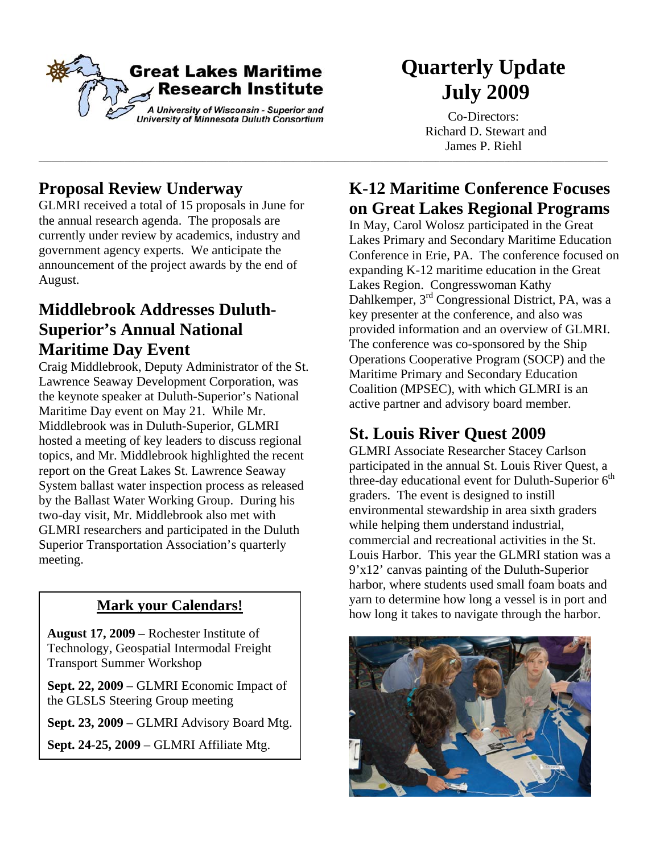

\_\_\_\_\_\_\_\_\_\_\_\_\_\_\_\_\_\_\_\_\_\_\_\_\_\_\_\_\_\_\_\_\_\_\_\_\_\_\_\_\_\_\_\_\_\_\_\_\_\_\_\_\_\_\_\_\_\_\_\_\_\_\_\_\_\_\_\_\_\_\_\_\_\_\_\_\_\_\_\_\_\_\_\_\_\_\_\_\_\_\_\_\_\_\_\_\_\_\_\_\_\_\_\_\_\_\_\_\_\_\_\_\_\_\_\_\_\_\_\_\_\_\_\_\_\_\_\_\_\_\_\_

# **Quarterly Update July 2009**

Co-Directors: Richard D. Stewart and James P. Riehl

# **Proposal Review Underway**

GLMRI received a total of 15 proposals in June for the annual research agenda. The proposals are currently under review by academics, industry and government agency experts. We anticipate the announcement of the project awards by the end of August.

### **Middlebrook Addresses Duluth-Superior's Annual National Maritime Day Event**

Craig Middlebrook, Deputy Administrator of the St. Lawrence Seaway Development Corporation, was the keynote speaker at Duluth-Superior's National Maritime Day event on May 21. While Mr. Middlebrook was in Duluth-Superior, GLMRI hosted a meeting of key leaders to discuss regional topics, and Mr. Middlebrook highlighted the recent report on the Great Lakes St. Lawrence Seaway System ballast water inspection process as released by the Ballast Water Working Group. During his two-day visit, Mr. Middlebrook also met with GLMRI researchers and participated in the Duluth Superior Transportation Association's quarterly meeting.

**August 17, 2009** – Rochester Institute of Technology, Geospatial Intermodal Freight Transport Summer Workshop

**Sept. 22, 2009** – GLMRI Economic Impact of the GLSLS Steering Group meeting

**Sept. 23, 2009** – GLMRI Advisory Board Mtg.

**Sept. 24-25, 2009** – GLMRI Affiliate Mtg.

### **K-12 Maritime Conference Focuses on Great Lakes Regional Programs**

In May, Carol Wolosz participated in the Great Lakes Primary and Secondary Maritime Education Conference in Erie, PA. The conference focused on expanding K-12 maritime education in the Great Lakes Region. Congresswoman Kathy Dahlkemper, 3rd Congressional District, PA, was a key presenter at the conference, and also was provided information and an overview of GLMRI. The conference was co-sponsored by the Ship Operations Cooperative Program (SOCP) and the Maritime Primary and Secondary Education Coalition (MPSEC), with which GLMRI is an active partner and advisory board member.

## **St. Louis River Quest 2009**

GLMRI Associate Researcher Stacey Carlson participated in the annual St. Louis River Quest, a three-day educational event for Duluth-Superior  $6<sup>th</sup>$ graders. The event is designed to instill environmental stewardship in area sixth graders while helping them understand industrial, commercial and recreational activities in the St. Louis Harbor. This year the GLMRI station was a 9'x12' canvas painting of the Duluth-Superior harbor, where students used small foam boats and yarn to determine how long a vessel is in port and **Mark your Calendars!** Warn to determine now long a vessel is in port and how long it takes to navigate through the harbor.